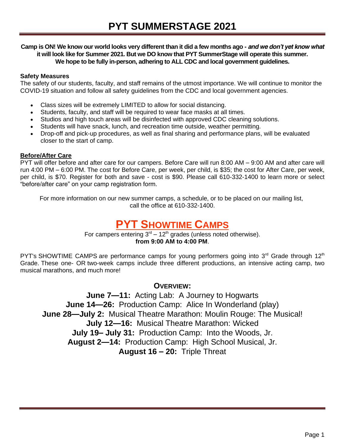#### *Camp is ON! We know our world looks very different than it did a few months ago - and we don't yet know what it will look like for Summer 2021. But we DO know that PYT SummerStage will operate this summer. We hope to be fully in-person, adhering to ALL CDC and local government guidelines.*

#### **Safety Measures**

The safety of our students, faculty, and staff remains of the utmost importance. We will continue to monitor the COVID-19 situation and follow all safety guidelines from the CDC and local government agencies.

- Class sizes will be extremely LIMITED to allow for social distancing.
- Students, faculty, and staff will be required to wear face masks at all times.
- Studios and high touch areas will be disinfected with approved CDC cleaning solutions.
- Students will have snack, lunch, and recreation time outside, weather permitting.
- Drop-off and pick-up procedures, as well as final sharing and performance plans, will be evaluated closer to the start of camp.

#### **Before/After Care**

PYT will offer before and after care for our campers. Before Care will run 8:00 AM – 9:00 AM and after care will run 4:00 PM – 6:00 PM. The cost for Before Care, per week, per child, is \$35; the cost for After Care, per week, per child, is \$70. Register for both and save - cost is \$90. Please call 610-332-1400 to learn more or select "before/after care" on your camp registration form.

*For more information on our new summer camps, a schedule, or to be placed on our mailing list, call the office at 610-332-1400.*

## **PYT SHOWTIME CAMPS**

For campers entering  $3<sup>rd</sup> - 12<sup>th</sup>$  grades (unless noted otherwise). **from 9:00 AM to 4:00 PM**.

PYT's [SHOWTIME CAMPS](http://www.123pyt.org/SummerStage/shows.aspx) are performance camps for young performers going into 3<sup>rd</sup> Grade through 12<sup>th</sup> Grade. These one- OR two-week camps include three different productions, an intensive acting camp, two musical marathons, and much more!

#### **OVERVIEW:**

**June 7—11:** Acting Lab: *A Journey to Hogwarts* **June 14—26:** Production Camp: *Alice In Wonderland (play)* **June 28—July 2:** Musical Theatre Marathon: *Moulin Rouge: The Musical!* **July 12—16:** Musical Theatre Marathon: *Wicked* **July 19– July 31:** Production Camp: *Into the Woods, Jr.* **August 2—14:** Production Camp: *High School Musical, Jr.* **August 16 – 20:** Triple Threat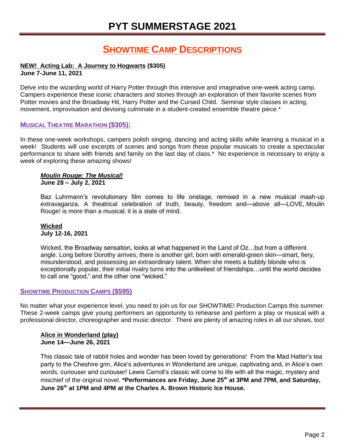### **SHOWTIME CAMP DESCRIPTIONS**

#### **NEW! Acting Lab:** *A Journey to Hogwarts* **(\$305) June 7-June 11, 2021**

Delve into the wizarding world of *Harry Potter* through this intensive and imaginative one-week acting camp. Campers experience these iconic characters and stories through an exploration of their favorite scenes from *Potter* movies and the Broadway Hit, *Harry Potter and the Cursed Child.* Seminar style classes in acting, movement, improvisation and devising culminate in a student-created ensemble theatre piece.\*

#### **MUSICAL THEATRE MARATHON (\$305):**

In these one-week workshops, campers polish singing, dancing and acting skills while learning a musical in a week! Students will use excerpts of scenes and songs from these popular musicals to create a spectacular performance to share with friends and family on the last day of class.\* No experience is necessary to enjoy a week of exploring these amazing shows!

#### *Moulin Rouge: The Musical!* **June 28 – July 2, 2021**

Baz Luhrmann's revolutionary film comes to life onstage, remixed in a new musical mash-up extravaganza. A theatrical celebration of truth, beauty, freedom and—above all—LOVE, *Moulin Rouge!* is more than a musical; it is a state of mind.

#### *Wicked* **July 12-16, 2021**

*Wicked*, the Broadway sensation, looks at what happened in the Land of Oz…but from a different angle. Long before Dorothy arrives, there is another girl, born with emerald-green skin—smart, fiery, misunderstood, and possessing an extraordinary talent. When she meets a bubbly blonde who is exceptionally popular, their initial rivalry turns into the unlikeliest of friendships…until the world decides to call one "good," and the other one "wicked."

#### **SHOWTIME PRODUCTION CAMPS (\$595)**

No matter what your experience level, you need to join us for our SHOWTIME! Production Camps this summer. These 2-week camps give young performers an opportunity to rehearse and perform a play or musical with a professional director, choreographer and music director. There are plenty of amazing roles in all our shows, too!

#### *Alice in Wonderland* **(play) June 14—June 26, 2021**

This classic tale of rabbit holes and wonder has been loved by generations! From the Mad Hatter's tea party to the Cheshire grin, Alice's adventures in Wonderland are unique, captivating and, in Alice's own words, curiouser and curiouser! Lewis Carroll's classic will come to life with all the magic, mystery and mischief of the original novel. **\*Performances are Friday, June 25 th at 3PM and 7PM, and Saturday, June 26 th at 1PM and 4PM at the Charles A. Brown Historic Ice House.**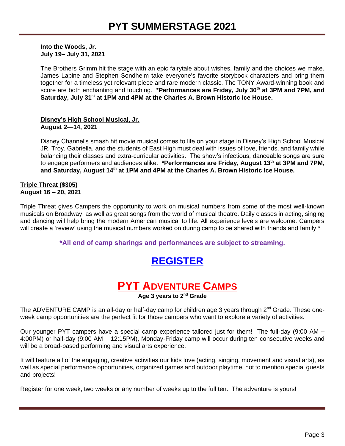*Into the Woods, Jr.* **July 19– July 31, 2021**

The Brothers Grimm hit the stage with an epic fairytale about wishes, family and the choices we make. James Lapine and Stephen Sondheim take everyone's favorite storybook characters and bring them together for a timeless yet relevant piece and rare modern classic. The TONY Award-winning book and score are both enchanting and touching. **\*Performances are Friday, July 30th at 3PM and 7PM, and Saturday, July 31st at 1PM and 4PM at the Charles A. Brown Historic Ice House.**

**Disney's** *High School Musical, Jr.*  **August 2—14, 2021**

Disney Channel's smash hit movie musical comes to life on your stage in Disney's *High School Musical JR*. Troy, Gabriella, and the students of East High must deal with issues of love, friends, and family while balancing their classes and extra-curricular activities. The show's infectious, danceable songs are sure to engage performers and audiences alike. **\*Performances are Friday, August 13 th at 3PM and 7PM,**  and Saturday, August 14<sup>th</sup> at 1PM and 4PM at the Charles A. Brown Historic Ice House.

#### **Triple Threat (\$305) August 16 – 20, 2021**

Triple Threat gives Campers the opportunity to work on musical numbers from some of the most well-known musicals on Broadway, as well as great songs from the world of musical theatre. Daily classes in acting, singing and dancing will help bring the modern American musical to life. All experience levels are welcome. Campers will create a 'review' using the musical numbers worked on during camp to be shared with friends and family.<sup>\*</sup>

**\*All end of camp sharings and performances are subject to streaming.**

## **[REGISTER](https://forms.gle/wyCfsAX1NjzhNWqU6)**



**Age 3 years to 2nd Grade**

The [ADVENTURE CAMP](http://www.123pyt.org/SummerStage/camps.aspx) is an all-day or half-day camp for children age 3 years through 2<sup>nd</sup> Grade. These oneweek camp opportunities are the perfect fit for those campers who want to explore a variety of activities.

Our younger PYT campers have a special camp experience tailored just for them! The full-day (9:00 AM – 4:00PM) or half-day (9:00 AM – 12:15PM), Monday-Friday camp will occur during ten consecutive weeks and will be a broad-based performing and visual arts experience.

It will feature all of the engaging, creative activities our kids love (acting, singing, movement and visual arts), as well as special performance opportunities, organized games and outdoor playtime, not to mention special guests and projects!

Register for one week, two weeks or any number of weeks up to the full ten. The adventure is yours!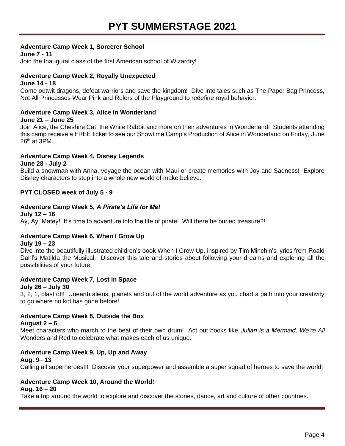#### **Adventure Camp Week 1,** *Sorcerer School*

**June 7 - 11**

Join the Inaugural class of the first American school of Wizardry!

#### **Adventure Camp Week 2,** *Royally Unexpected*

#### **June 14 - 18**

Come outwit dragons, defeat warriors and save the kingdom! Dive into tales such as *The Paper Bag Princess, Not All Princesses Wear Pink* and *Rulers of the Playground* to redefine royal behavior.

#### **Adventure Camp Week 3,** *Alice in Wonderland*

#### **June 21 – June 25**

Join Alice, the Cheshire Cat, the White Rabbit and more on their adventures in Wonderland! Students attending this camp receive a FREE ticket to see our Showtime Camp's Production of *Alice in Wonderland* on Friday, June  $26<sup>th</sup>$  at 3PM.

#### **Adventure Camp Week 4,** *Disney Legends*

**June 28 - July 2**

Build a snowman with Anna, voyage the ocean with Maui or create memories with Joy and Sadness! Explore Disney characters to step into a whole new world of make believe.

#### **PYT CLOSED week of July 5 - 9**

#### **Adventure Camp Week 5,** *A Pirate's Life for Me!*

**July 12 – 16** Ay, Ay, Matey! It's time to adventure into the life of pirate! Will there be buried treasure?!

#### **Adventure Camp Week 6,** *When I Grow Up*

#### **July 19 – 23**

Dive into the beautifully illustrated children's book *When I Grow Up,* inspired by Tim Minchin's lyrics from Roald Dahl's *Matilda the Musical.* Discover this tale and stories about following your dreams and exploring all the possibilities of your future.

### **Adventure Camp Week 7,** *Lost in Space*

#### **July 26 – July 30**

3, 2, 1, blast off! Unearth aliens, planets and out of the world adventure as you chart a path into your creativity to go where no kid has gone before!

#### **Adventure Camp Week 8,** *Outside the Box*

#### **August 2 – 6**

Meet characters who march to the beat of their own drum! Act out books like *Julian is a Mermaid, We're All Wonders* and *Red* to celebrate what makes each of us unique.

#### **Adventure Camp Week 9,** *Up, Up and Away*

**Aug. 9– 13** Calling all superheroes!!! Discover your superpower and assemble a super squad of heroes to save the world!

#### **Adventure Camp Week 10,** *Around the World!*

#### **Aug. 16 – 20**

Take a trip around the world to explore and discover the stories, dance, art and culture of other countries.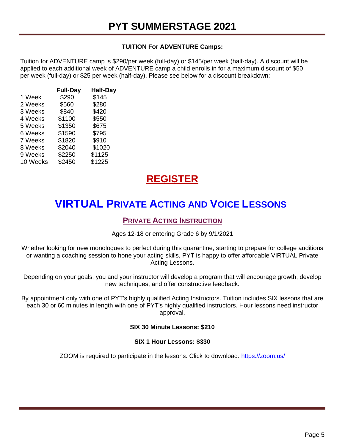#### **TUITION For ADVENTURE Camps:**

Tuition for ADVENTURE camp is \$290/per week (full-day) or \$145/per week (half-day). A discount will be applied to each additional week of ADVENTURE camp a child enrolls in for a maximum discount of \$50 per week (full-day) or \$25 per week (half-day). Please see below for a discount breakdown:

|          | <b>Full-Day</b> | <b>Half-Day</b> |
|----------|-----------------|-----------------|
| 1 Week   | \$290           | \$145           |
| 2 Weeks  | \$560           | \$280           |
| 3 Weeks  | \$840           | \$420           |
| 4 Weeks  | \$1100          | \$550           |
| 5 Weeks  | \$1350          | \$675           |
| 6 Weeks  | \$1590          | \$795           |
| 7 Weeks  | \$1820          | \$910           |
| 8 Weeks  | \$2040          | \$1020          |
| 9 Weeks  | \$2250          | \$1125          |
| 10 Weeks | \$2450          | \$1225          |

## **[REGISTER](https://forms.gle/wyCfsAX1NjzhNWqU6)**

# **VIRTUAL PRIVATE ACTING AND VOICE LESSONS**

### **PRIVATE ACTING INSTRUCTION**

Ages 12-18 or entering Grade 6 by 9/1/2021

Whether looking for new monologues to perfect during this quarantine, starting to prepare for college auditions or wanting a coaching session to hone your acting skills, PYT is happy to offer affordable VIRTUAL Private Acting Lessons.

Depending on your goals, you and your instructor will develop a program that will encourage growth, develop new techniques, and offer constructive feedback.

By appointment only with one of PYT's highly qualified Acting Instructors. Tuition includes SIX lessons that are each 30 or 60 minutes in length with one of PYT's highly qualified instructors. Hour lessons need instructor approval.

#### **SIX 30 Minute Lessons: \$210**

#### **SIX 1 Hour Lessons: \$330**

ZOOM is required to participate in the lessons. Click to download: <https://zoom.us/>